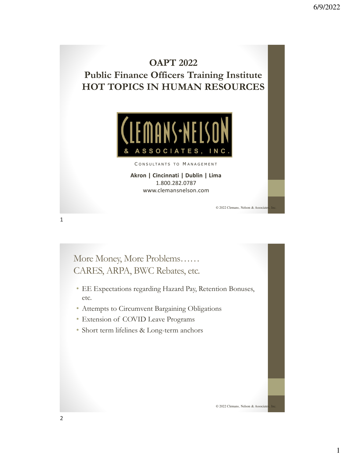## **OAPT 2022 Public Finance Officers Training Institute HOT TOPICS IN HUMAN RESOURCES**



CONSULTANTS TO MANAGEMENT

**Akron | Cincinnati | Dublin | Lima** 1.800.282.0787 www.clemansnelson.com

© 2022 Clemans, Nelson & Associate

More Money, More Problems…… CARES, ARPA, BWC Rebates, etc.

- EE Expectations regarding Hazard Pay, Retention Bonuses, etc.
- Attempts to Circumvent Bargaining Obligations
- Extension of COVID Leave Programs
- Short term lifelines & Long-term anchors

© 2022 Clemans, Nelson & Associate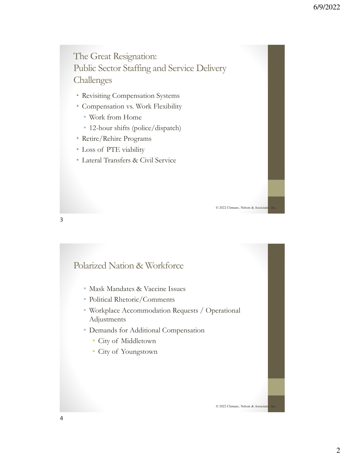The Great Resignation: Public Sector Staffing and Service Delivery Challenges

- Revisiting Compensation Systems
- Compensation vs. Work Flexibility
	- Work from Home
	- 12-hour shifts (police/dispatch)
- Retire/Rehire Programs
- Loss of PTE viability
- Lateral Transfers & Civil Service

© 2022 Clemans, Nelson & Associate

Polarized Nation & Workforce

- Mask Mandates & Vaccine Issues
- Political Rhetoric/Comments
- Workplace Accommodation Requests / Operational Adjustments
- Demands for Additional Compensation
	- City of Middletown
	- City of Youngstown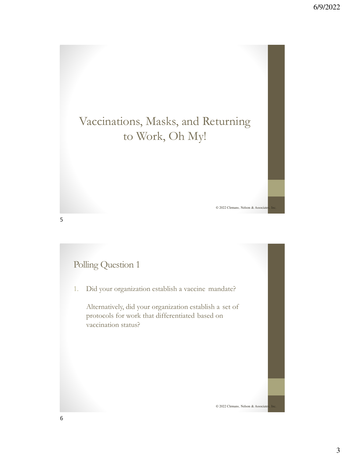# Vaccinations, Masks, and Returning to Work, Oh My!

Polling Question 1

1. Did your organization establish a vaccine mandate?

Alternatively, did your organization establish a set of protocols for work that differentiated based on vaccination status?

© 2022 Clemans, Nelson & Associate

© 2022 Clemans, Nelson & Associate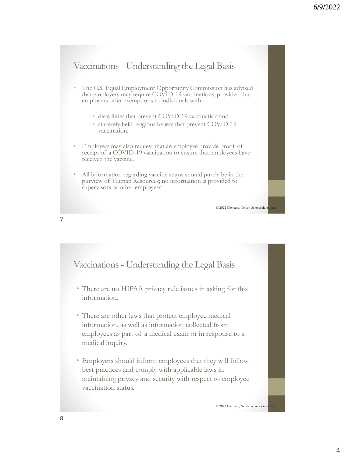## Vaccinations - Understanding the Legal Basis

- The U.S. Equal Employment Opportunity Commission has advised that employers may require COVID-19 vaccinations, provided that employers offer exemptions to individuals with
	- disabilities that prevent COVID-19 vaccination and
	- sincerely held religious beliefs that prevent COVID-19 vaccination.
- Employers may also request that an employee provide proof of receipt of a COVID-19 vaccination to ensure that employees have received the vaccine.
- All information regarding vaccine status should purely be in the purview of Human Resources; no information is provided to supervisors or other employees

© 2022 Clemans, Nelson & Associate

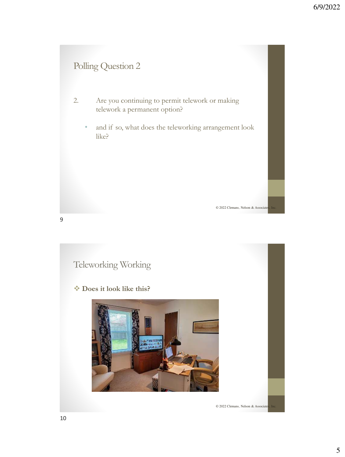## Polling Question 2

- 2. Are you continuing to permit telework or making telework a permanent option?
	- and if so, what does the teleworking arrangement look like?

© 2022 Clemans, Nelson & Associate

Teleworking Working

❖ **Does it look like this?**



© 2022 Clemans, Nelson & Associate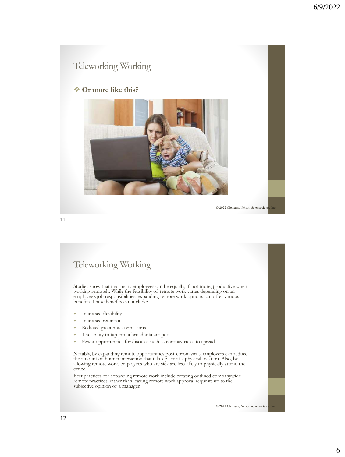#### ❖ **Or more like this?**



© 2022 Clemans, Nelson & Associate

11

#### Teleworking Working

Studies show that that many employees can be equally, if not more, productive when working remotely. While the feasibility of remote work varies depending on an employee's job responsibilities, expanding remote work options can offer various benefits. These benefits can include:

- Increased flexibility
- Increased retention
- Reduced greenhouse emissions
- The ability to tap into a broader talent pool
- Fewer opportunities for diseases such as coronaviruses to spread

Notably, by expanding remote opportunities post-coronavirus, employers can reduce the amount of human interaction that takes place at a physical location. Also, by allowing remote work, employees who are sick are less likely to physically attend the office.

Best practices for expanding remote work include creating outlined companywide remote practices, rather than leaving remote work approval requests up to the subjective opinion of a manager.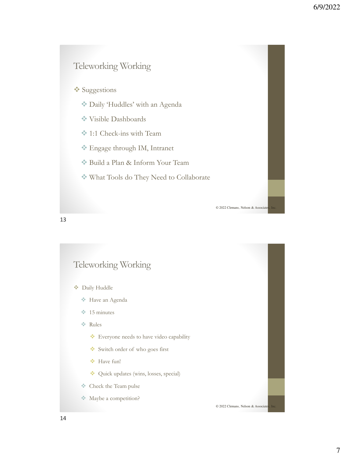#### ❖ Suggestions

- ❖ Daily 'Huddles' with an Agenda
- ❖ Visible Dashboards
- ❖ 1:1 Check-ins with Team
- ❖ Engage through IM, Intranet
- ❖ Build a Plan & Inform Your Team
- ❖ What Tools do They Need to Collaborate

© 2022 Clemans, Nelson & Associate

13

#### Teleworking Working

- ❖ Daily Huddle
	- ❖ Have an Agenda
	- ❖ 15 minutes
	- ❖ Rules
		- ❖ Everyone needs to have video capability
		- ❖ Switch order of who goes first
		- ❖ Have fun!
		- ❖ Quick updates (wins, losses, special)
	- ❖ Check the Team pulse
	- ❖ Maybe a competition?

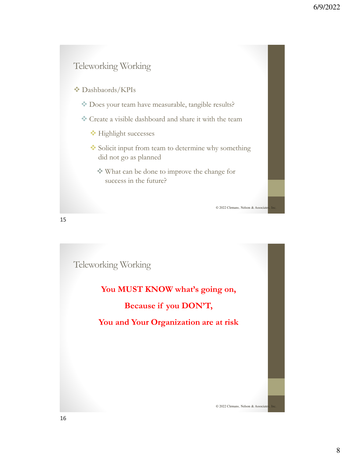❖ Dashbaords/KPIs

- ❖ Does your team have measurable, tangible results?
- ❖ Create a visible dashboard and share it with the team
	- ❖ Highlight successes
	- ❖ Solicit input from team to determine why something did not go as planned
		- ❖ What can be done to improve the change for success in the future?

© 2022 Clemans, Nelson & Associate

15

Teleworking Working

**You MUST KNOW what's going on, Because if you DON'T, You and Your Organization are at risk**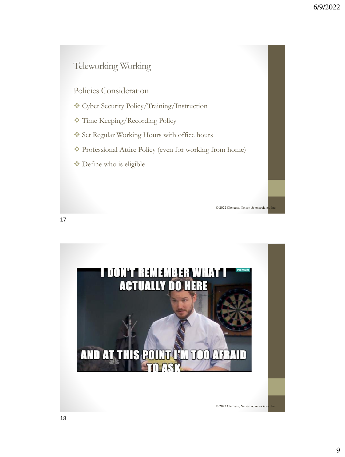Policies Consideration

- ❖ Cyber Security Policy/Training/Instruction
- ❖ Time Keeping/Recording Policy
- ❖ Set Regular Working Hours with office hours
- ❖ Professional Attire Policy (even for working from home)
- ❖ Define who is eligible

© 2022 Clemans, Nelson & Associate

17

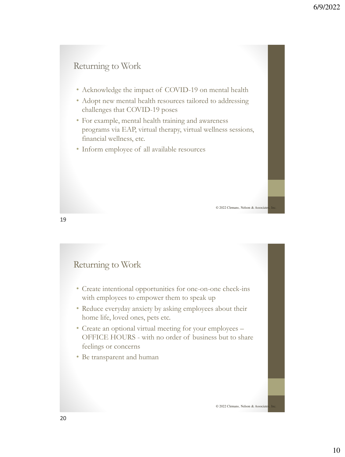#### Returning to Work

- Acknowledge the impact of COVID-19 on mental health
- Adopt new mental health resources tailored to addressing challenges that COVID-19 poses
- For example, mental health training and awareness programs via EAP, virtual therapy, virtual wellness sessions, financial wellness, etc.
- Inform employee of all available resources

© 2022 Clemans, Nelson & Associate

19

#### Returning to Work

- Create intentional opportunities for one-on-one check-ins with employees to empower them to speak up
- Reduce everyday anxiety by asking employees about their home life, loved ones, pets etc.
- Create an optional virtual meeting for your employees OFFICE HOURS - with no order of business but to share feelings or concerns
- Be transparent and human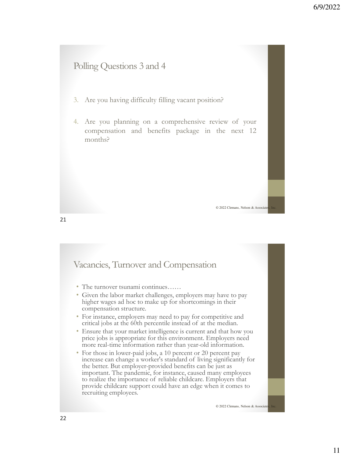#### Polling Questions 3 and 4

- 3. Are you having difficulty filling vacant position?
- 4. Are you planning on a comprehensive review of your compensation and benefits package in the next 12 months?

© 2022 Clemans, Nelson & Associate

#### Vacancies, Turnover and Compensation

- The turnover tsunami continues……
- Given the labor market challenges, employers may have to pay higher wages ad hoc to make up for shortcomings in their compensation structure.
- For instance, employers may need to pay for competitive and critical jobs at the 60th percentile instead of at the median.
- Ensure that your market intelligence is current and that how you price jobs is appropriate for this environment. Employers need more real-time information rather than year-old information.
- For those in lower-paid jobs, a 10 percent or 20 percent pay increase can change a worker's standard of living significantly for the better. But employer-provided benefits can be just as important. The pandemic, for instance, caused many employees to realize the importance of reliable childcare. Employers that provide childcare support could have an edge when it comes to recruiting employees.

© 2022 Clemans, Nelson & Associate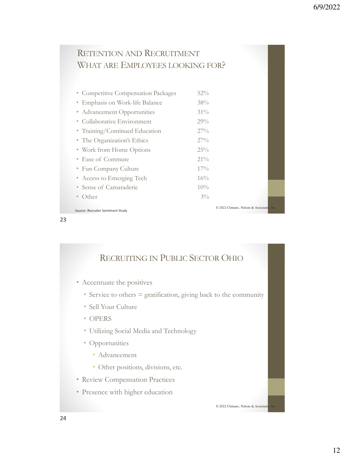## RETENTION AND RECRUITMENT WHAT ARE EMPLOYEES LOOKING FOR?

| • Competitive Compensation Packages | $52\%$                             |  |
|-------------------------------------|------------------------------------|--|
| • Emphasis on Work-life Balance     | 38%                                |  |
| • Advancement Opportunities         | $31\%$                             |  |
| • Collaborative Environment         | 29%                                |  |
| • Training/Continued Education      | $27\%$                             |  |
| • The Organization's Ethics         | $27\%$                             |  |
| • Work from Home Options            | $25\%$                             |  |
| • Ease of Commute                   | $21\%$                             |  |
| • Fun Company Culture               | $17\%$                             |  |
| • Access to Emerging Tech           | 16%                                |  |
| Sense of Camaraderie                | $10\%$                             |  |
| Other                               | $3\%$                              |  |
|                                     | © 2022 Clemans. Nelson & Associate |  |

23

RECRUITING IN PUBLIC SECTOR OHIO

- Accentuate the positives
	- Service to others = gratification, giving back to the community
	- Sell Your Culture
	- OPERS

Source: Recruiter Sentiment Study

- Utilizing Social Media and Technology
- Opportunities
	- Advancement
	- Other positions, divisions, etc.
- Review Compensation Practices
- Presence with higher education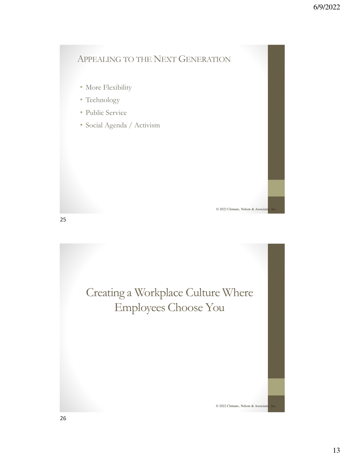#### APPEALING TO THE NEXT GENERATION

- More Flexibility
- Technology
- Public Service
- Social Agenda / Activism

© 2022 Clemans, Nelson & Associat

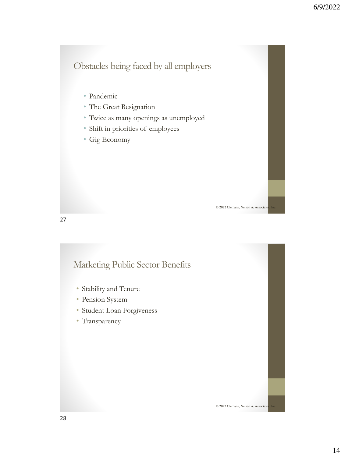## Obstacles being faced by all employers

- Pandemic
- The Great Resignation
- Twice as many openings as unemployed
- Shift in priorities of employees
- Gig Economy

© 2022 Clemans, Nelson & Associate

© 2022 Clemans, Nelson & Associate

27

#### Marketing Public Sector Benefits

- Stability and Tenure
- Pension System
- Student Loan Forgiveness
- Transparency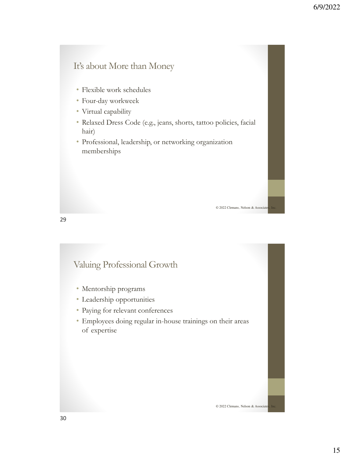#### It's about More than Money

- Flexible work schedules
- Four-day workweek
- Virtual capability
- Relaxed Dress Code (e.g., jeans, shorts, tattoo policies, facial hair)

• Professional, leadership, or networking organization memberships

© 2022 Clemans, Nelson & Associate

29

#### Valuing Professional Growth

- Mentorship programs
- Leadership opportunities
- Paying for relevant conferences
- Employees doing regular in-house trainings on their areas of expertise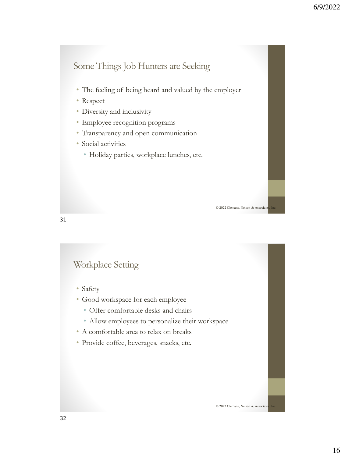## Some Things Job Hunters are Seeking

- The feeling of being heard and valued by the employer
- Respect
- Diversity and inclusivity
- Employee recognition programs
- Transparency and open communication
- Social activities
	- Holiday parties, workplace lunches, etc.

© 2022 Clemans, Nelson & Associate

31

#### Workplace Setting

- Safety
- Good workspace for each employee
	- Offer comfortable desks and chairs
	- Allow employees to personalize their workspace
- A comfortable area to relax on breaks
- Provide coffee, beverages, snacks, etc.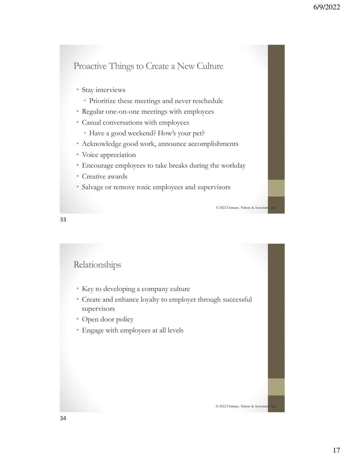### Proactive Things to Create a New Culture

- Stay interviews
	- Prioritize these meetings and never reschedule
- Regular one-on-one meetings with employees
- Casual conversations with employees
	- Have a good weekend? How's your pet?
- Acknowledge good work, announce accomplishments
- Voice appreciation
- Encourage employees to take breaks during the workday
- Creative awards
- Salvage or remove toxic employees and supervisors

33

#### Relationships

- Key to developing a company culture
- Create and enhance loyalty to employer through successful supervisors
- Open door policy
- Engage with employees at all levels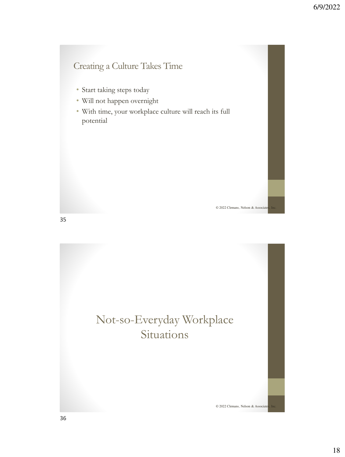## Creating a Culture Takes Time

- Start taking steps today
- Will not happen overnight
- With time, your workplace culture will reach its full potential

© 2022 Clemans, Nelson & Associate

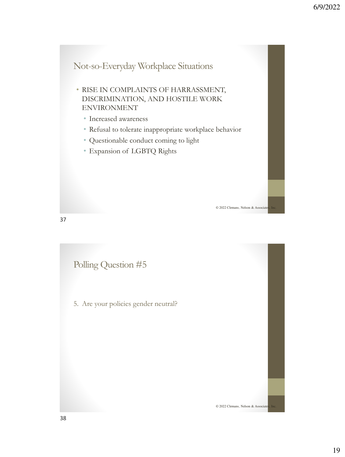

37

Polling Question #5

5. Are your policies gender neutral?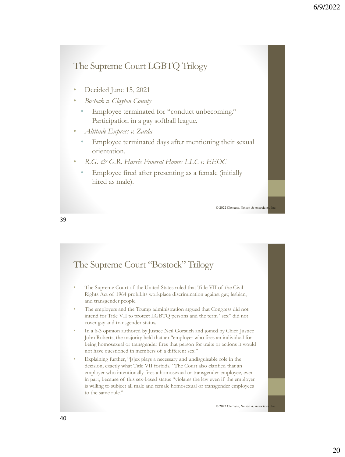## The Supreme Court LGBTQ Trilogy

- Decided June 15, 2021
- *Bostock v. Clayton County*
	- Employee terminated for "conduct unbecoming." Participation in a gay softball league.
- *Altitude Express v. Zarda*
	- Employee terminated days after mentioning their sexual orientation.
- *R.G. & G.R. Harris Funeral Homes LLC v. EEOC*
	- Employee fired after presenting as a female (initially hired as male).

© 2022 Clemans, Nelson & Associate

39

#### • The Supreme Court of the United States ruled that Title VII of the Civil Rights Act of 1964 prohibits workplace discrimination against gay, lesbian, and transgender people. The employers and the Trump administration argued that Congress did not intend for Title VII to protect LGBTQ persons and the term "sex" did not cover gay and transgender status. • In a 6-3 opinion authored by Justice Neil Gorsuch and joined by Chief Justice John Roberts, the majority held that an "employer who fires an individual for being homosexual or transgender fires that person for traits or actions it would not have questioned in members of a different sex." • Explaining further, "[s]ex plays a necessary and undisguisable role in the decision, exactly what Title VII forbids." The Court also clarified that an employer who intentionally fires a homosexual or transgender employee, even in part, because of this sex-based status "violates the law even if the employer is willing to subject all male and female homosexual or transgender employees to the same rule." The Supreme Court "Bostock" Trilogy © 2022 Clemans, Nelson & Associate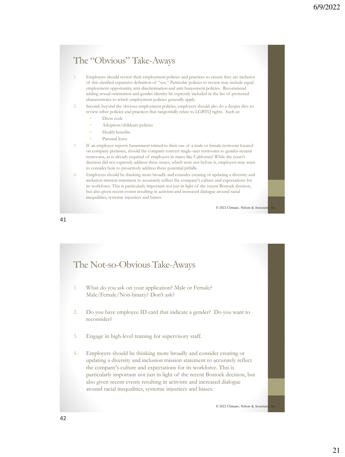#### The "Obvious" Take-Aways

- 1. Employers should review their employment policies and practices to ensure they are inclusive of this clarified expansive definition of "sex." Particular policies to review may include equal employment opportunity, anti-discrimination and anti-harassment policies. Recommend adding sexual orientation and gender identity be expressly included in the list of protected characteristics to which employment policies generally apply.
- Second, beyond the obvious employment policies, employers should also do a deeper dive to review other policies and practices that tangentially relate to LGBTQ rights. Such as:
	- Dress code
	- Adoption/childcare policies
	- Health benefits
	- Parental leave
- If an employee reports harassment related to their use of a male or female restroom located on company premises, should the company convert single-user restrooms to gender-neutral restrooms, as is already required of employers in states like California? While the court's decision did not expressly address these issues, which were not before it, employers may want to consider how to proactively address these potential pitfalls.
- 4. Employers should be thinking more broadly and consider creating or updating a diversity and inclusion mission statement to accurately reflect the company's culture and expectations for its workforce. This is particularly important not just in light of the recent Bostock decision, but also given recent events resulting in activism and increased dialogue around racial inequalities, systemic injustices and biases.

© 2022 Clemans, Nelson & Associate

41

# 1. What do you ask on your application? Male or Female? Male/Female/Non-binary? Don't ask? 2. Do you have employee ID card that indicate a gender? Do you want to reconsider? 3. Engage in high-level training for supervisory staff. 4. Employers should be thinking more broadly and consider creating or updating a diversity and inclusion mission statement to accurately reflect the company's culture and expectations for its workforce. This is particularly important not just in light of the recent Bostock decision, but also given recent events resulting in activism and increased dialogue around racial inequalities, systemic injustices and biases. The Not-so-Obvious Take-Aways © 2022 Clemans, Nelson & Associate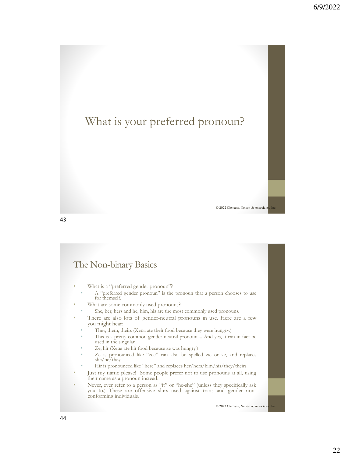# What is your preferred pronoun?

© 2022 Clemans, Nelson & Associat

#### 43

## The Non-binary Basics

- What is a "preferred gender pronoun"?
	- A "preferred gender pronoun" is the pronoun that a person chooses to use for themself.
- What are some commonly used pronouns?
	- She, her, hers and he, him, his are the most commonly used pronouns.
- There are also lots of gender-neutral pronouns in use. Here are a few you might hear:
	- They, them, theirs (Xena ate their food because they were hungry.)
	- This is a pretty common gender-neutral pronoun.... And yes, it can in fact be used in the singular.
	- Ze, hir (Xena ate hir food because ze was hungry.)
	- Ze is pronounced like "zee" can also be spelled zie or xe, and replaces she/he/they.
	- Hir is pronounced like "here" and replaces her/hers/him/his/they/theirs.
- Just my name please! Some people prefer not to use pronouns at all, using their name as a pronoun instead.
- Never, ever refer to a person as "it" or "he-she" (unless they specifically ask you to.) These are offensive slurs used against trans and gender nonconforming individuals.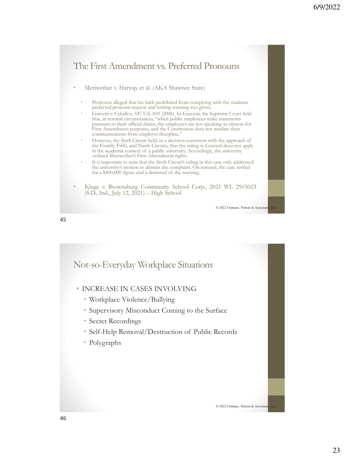

45

Not-so-Everyday Workplace Situations

- INCREASE IN CASES INVOLVING
	- Workplace Violence/Bullying
	- Supervisory Misconduct Coming to the Surface
	- Secret Recordings
	- Self-Help Removal/Destruction of Public Records
	- Polygraphs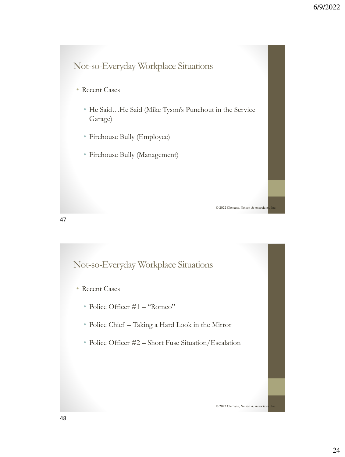# Not-so-Everyday Workplace Situations

- Recent Cases
	- He Said…He Said (Mike Tyson's Punchout in the Service Garage)

© 2022 Clemans, Nelson & Associate

© 2022 Clemans, Nelson & Associate

- Firehouse Bully (Employee)
- Firehouse Bully (Management)

Not-so-Everyday Workplace Situations

- Recent Cases
	- Police Officer #1 "Romeo"
	- Police Chief Taking a Hard Look in the Mirror
	- Police Officer #2 Short Fuse Situation/Escalation